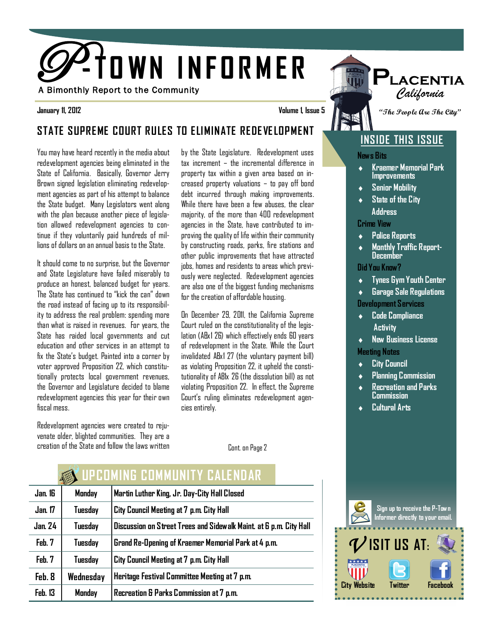

**January 11, 2012 Volume 1, Issue 5**

#### **STATE SUPREME COURT RULES TO ELIMINATE REDE VE LOPMENT**

You may have heard recently in the media about redevelopment agencies being eliminated in the State of California. Basically, Governor Jerry Brown signed legislation eliminating redevelopment agencies as part of his attempt to balance the State budget. Many Legislators went along with the plan because another piece of legislation allowed redevelopment agencies to continue if they voluntarily paid hundreds of millions of dollars on an annual basis to the State.

It should come to no surprise, but the Governor and State Legislature have failed miserably to produce an honest, balanced budget for years. The State has continued to "kick the can" down the road instead of facing up to its responsibility to address the real problem: spending more than what is raised in revenues. For years, the State has raided local governments and cut education and other services in an attempt to fix the State's budget. Painted into a corner by voter approved Proposition 22, which constitutionally protects local government revenues, the Governor and Legislature decided to blame redevelopment agencies this year for their own fiscal mess.

Redevelopment agencies were created to rejuvenate older, blighted communities. They are a creation of the State and follow the laws written by the State Legislature. Redevelopment uses tax increment – the incremental difference in property tax within a given area based on increased property valuations – to pay off bond debt incurred through making improvements. While there have been a few abuses, the clear majority, of the more than 400 redevelopment agencies in the State, have contributed to improving the quality of life within their community by constructing roads, parks, fire stations and other public improvements that have attracted jobs, homes and residents to areas which previously were neglected. Redevelopment agencies are also one of the biggest funding mechanisms for the creation of affordable housing.

On December 29, 2011, the California Supreme Court ruled on the constitutionality of the legislation (ABx1 26) which effectively ends 60 years of redevelopment in the State. While the Court invalidated ABx1 27 (the voluntary payment bill) as violating Proposition 22, it upheld the constitutionality of AB1x 26 (the dissolution bill) as not violating Proposition 22. In effect, the Supreme Court's ruling eliminates redevelopment agencies entirely.

Cont. on Page 2

|                | <b>ANDERS</b> | LI LENIN DE LENIN SIN II LIALEN PAN                                |
|----------------|---------------|--------------------------------------------------------------------|
| Jan. 16        | Monday        | Martin Luther King, Jr. Day-City Hall Closed                       |
| <b>Jan.</b> 17 | Tuesday       | City Council Meeting at 7 p.m. City Hall                           |
| <b>Jan. 24</b> | Tuesday       | Discussion on Street Trees and Sidewalk Maint. at 6 p.m. City Hall |
| Feb. 7         | Tuesday       | Grand Re-Opening of Kraemer Memorial Park at 4 p.m.                |
| Feb. 7         | Tuesday       | City Council Meeting at 7 p.m. City Hall                           |
| Feb. 8         | Wednesday     | Heritage Festival Committee Meeting at 7 p.m.                      |
| Feb. 13        | Monday        | Recreation & Parks Commission at 7 p.m.                            |

**WARKA UPC LANDAR COMMUNITY CALENDAR** 

# $\mathcal V$  isit us at: **City Website Twitter Facebook Sign up to receive the P-Town Informer directly to your email.**

**"The People Are The City"**

**P**

*California*

#### **INSIDE THIS ISSUE**

**News Bits**

EK.

- **Kraemer Memorial Park**   $\ddot{\bullet}$ **Improvements**
- $\bullet$ **Senior Mobility**
- **State of the City**   $\bullet$  **Address**

**Crime View**

- **Police Reports**  $\bullet$
- **Monthly Traffic Report-December**

**Did You Know?**

**Tynes Gym Youth Center**  $\bullet$ 

**Garage Sale Regulations Development Services**

**Code Compliance**   $\bullet$  **Activity**

**New Business License**   $\bullet$ **Meeting Notes**

- **City Council**  $\bullet$
- **Planning Commission**
- **Recreation and Parks Commission**
- **Cultural Arts**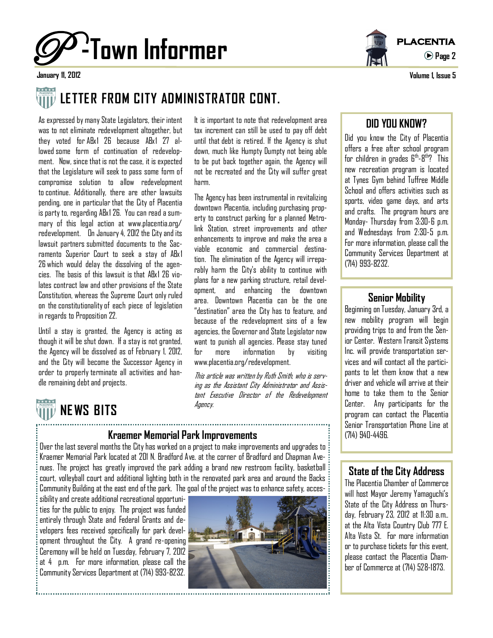



**Page 2**

**January 11, 2012 Volume 1, Issue 5**

January 11, 2012

## **LETTER FROM CITY ADMINISTRATOR CONT.**

As expressed by many State Legislators, their intent was to not eliminate redevelopment altogether, but they voted for ABx1 26 because ABx1 27 allowed some form of continuation of redevelopment. Now, since that is not the case, it is expected that the Legislature will seek to pass some form of compromise solution to allow redevelopment tocontinue. Additionally, there are other lawsuits pending, one in particular that the City of Placentia is party to, regarding ABx1 26. You can read a summary of this legal action at www.placentia.org/ redevelopment. On January 4, 2012 the City and its lawsuit partners submitted documents to the Sacramento Superior Court to seek a stay of ABx 1 26 which would delay the dissolving of the agencies. The basis of this lawsuit is that ABx1 26 violates contract law and other provisions of the State Constitution, whereas the Supreme Court only ruled on the constitutionalityof each piece of legislation in regards to Proposition 22.

Until a stay is granted, the Agency is acting as though it will be shut down. If a stay is not granted, the Agency will be dissolved as of February 1, 2012, and the City will become the Successor Agency in order to properly terminate all activities and handle remaining debt and projects.

It is important to note that redevelopment area tax increment can still be used to pay off debt until that debt is retired. If the Agency is shut down, much like Humpty Dumpty not being able to be put back together again, the Agency will not be recreated and the City will suffer great harm.

The Agency has been instrumental in revitalizing downtown Placentia, including purchasing property to construct parking for a planned Metrolink Station, street improvements and other enhancements to improve and make the area a viable economic and commercial destination. The elimination of the Agency will irreparably harm the City's ability to continue with plans for a new parking structure, retail development, and enhancing the downtown area. Downtown Placentia can be the one "destination" area the City has to feature, and because of the redevelopment sins of a few agencies, the Governor and State Legislator now want to punish all agencies. Please stay tuned for more information by visiting www.placentia.org/redevelopment.

This article was written by Ruth Smith, who is serving as the Assistant City Administrator and Assistant Executive Director of the Redevelopment Agency.

# **NE WS BITS**

#### **Kraemer Memorial Park Improvements Example 2014** (714) 940-4496.

Over the last several months the City has worked on a project to make improvements and upgrades to Kraemer Memorial Park located at 201 N. Bradford Ave. at the corner of Bradford and Chapman Avenues. The project has greatly improved the park adding a brand new restroom facility, basketball court, volleyball court and additional lighting both in the renovated park area and around the Backs Community Building at the east end of the park. The goal of the project was to enhance safety, acces-

sibility and create additional recreational opportunities for the public to enjoy. The project was funded entirely through State and Federal Grants and developers fees received specifically for park development throughout the City. A grand re-opening Ceremony will be held on Tuesday, February 7, 2012 at 4 p.m. For more information, please call the Community Services Department at (714) 993-8232.



#### **DID YOU KNOW?**

Did you know the City of Placentia offers a free after school program for children in grades 6<sup>th</sup>-8<sup>th</sup>? This new recreation program is located at Tynes Gym behind Tuffree Middle School and offers activities such as sports, video game days, and arts and crafts. The program hours are Monday- Thursday from 3:30-6 p.m. and Wednesdays from 2:30-5 p.m. For more information, please call the Community Services Department at (714) 993-8232.

#### **Senior Mobility**

Beginning on Tuesday, January 3rd, a new mobility program will begin providing trips to and from the Senior Center. Western Transit Systems Inc. will provide transportation services and will contact all the participants to let them know that a new driver and vehicle will arrive at their home to take them to the Senior Center. Any participants for the program can contact the Placentia Senior Transportation Phone Line at

#### **State of the City Address**

The Placentia Chamber of Commerce will host Mayor Jeremy Yamaguchi's State of the City Address on Thursday, February 23, 2012 at 11:30 a.m.. at the Alta Vista Country Club 777 E. Alta Vista St. For more information or to purchase tickets for this event, please contact the Placentia Chamber of Commerce at (714) 528-1873.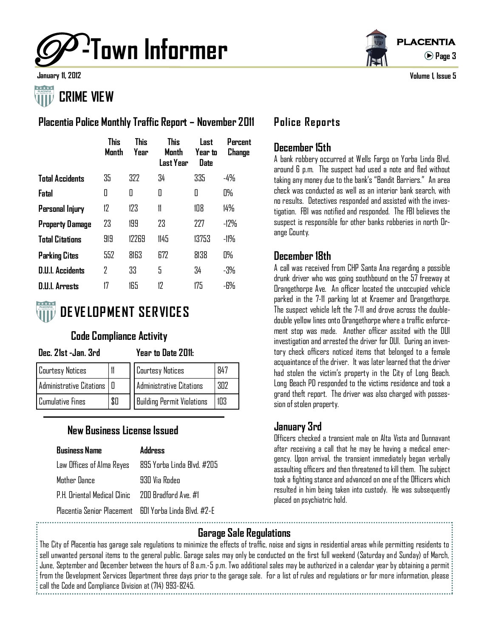

## **CRIME VIEW**

#### **Placentia Police Monthly Traffic Report – November 2011**

|                         | <b>This</b><br>Manth | <b>This</b><br>Year | <b>This</b><br>Manth<br>Last Year | Last<br>Year to<br><b>Date</b> | Percent<br>Change |
|-------------------------|----------------------|---------------------|-----------------------------------|--------------------------------|-------------------|
| <b>Total Accidents</b>  | 35                   | 322                 | 34                                | 335                            | -4%               |
| Fatal                   | O                    | 0                   | 0                                 | 0                              | 0%                |
| Personal Injury         | 12                   | 123                 | 11                                | 108                            | 14%               |
| <b>Property Damage</b>  | 23                   | 199                 | 23                                | 227                            | $-12\%$           |
| <b>Total Citations</b>  | 919                  | 12269               | 1145                              | 13753                          | -11%              |
| <b>Parking Cites</b>    | 552                  | 8163                | 672                               | 8138                           | 0%                |
| <b>D.U.I. Accidents</b> | 7                    | 33                  | 5                                 | 34                             | -3%               |
| <b>D.U.I. Arrests</b>   | 17                   | 165                 | 12                                | 175                            | -6%               |



## **DE VE LOPMENT SERVICES**

#### **Code Compliance Activity**

#### **Dec. 21st -Jan. 3rd Year to Date 2011:**

| <b>Courtesy Notices</b>      |     | <b>Courtesy Notices</b>           | 847 |
|------------------------------|-----|-----------------------------------|-----|
| Administrative Citations   0 |     | Administrative Citations          | 302 |
| Cumulative Fines             | \$0 | <b>Building Permit Violations</b> | 103 |

### **New Business License Issued**

| <b>Business Name</b>                                   | <b>Address</b>                                       |  |  |
|--------------------------------------------------------|------------------------------------------------------|--|--|
|                                                        | Law Offices of Alma Reyes 895 Yorba Linda Blvd. #205 |  |  |
| Mother Dance                                           | 930 Via Roden                                        |  |  |
| PH Oriental Medical Clinic - 200 Bradford Ave #1       |                                                      |  |  |
| Placentia Senior Placement - 601 Yorha Linda Rlvd #7-F |                                                      |  |  |



**January 11, 2012 Volume 1, Issue 5**

#### **Police Reports**

#### **December 15th**

A bank robbery occurred at Wells Fargo on Yorba Linda Blvd. around 6 p.m. The suspect had used a note and fled without taking any money due to the bank's "Bandit Barriers." An area check was conducted as well as an interior bank search, with no results. Detectives responded and assisted with the investigation. FBI was notified and responded. The FBI believes the suspect is responsible for other banks robberies in north Orange County.

#### **December 18th**

A call was received from CHP Santa Ana regarding a possible drunk driver who was going southbound on the 57 freeway at Orangethorpe Ave. An officer located the unoccupied vehicle parked in the 7-11 parking lot at Kraemer and Orangethorpe. The suspect vehicle left the 7-11 and drove across the doubledouble yellow lines onto Orangethorpe where a traffic enforcement stop was made. Another officer assited with the DUI investigation and arrested the driver for DUI. During an inventory check officers noticed items that belonged to a female acquaintance of the driver. It was later learned that the driver had stolen the victim's property in the City of Long Beach. Long Beach PD responded to the victims residence and took a grand theft report. The driver was also charged with possession of stolen property.

#### **January 3rd**

Officers checked a transient male on Alta Vista and Dunnavant after receiving a call that he may be having a medical emergency. Upon arrival, the transient immediately began verbally assaulting officers and then threatened to kill them. The subject took a fighting stance and advanced on one of the Officers which resulted in him being taken into custody. He was subsequently placed on psychiatric hold.

#### **Garage Sale Regulations**

The City of Placentia has garage sale regulations to minimize the effects of traffic, noise and signs in residential areas while permitting residents to sell unwanted personal items to the general public. Garage sales may only be conducted on the first full weekend (Saturday and Sunday) of March, June, September and December between the hours of 8 a.m.-5 p.m. Two additional sales may be authorized in a calendar year by obtaining a permit from the Development Services Department three days prior to the garage sale. For a list of rules and regulations or for more information, please call the Code and Compliance Division at (714) 993-8245.